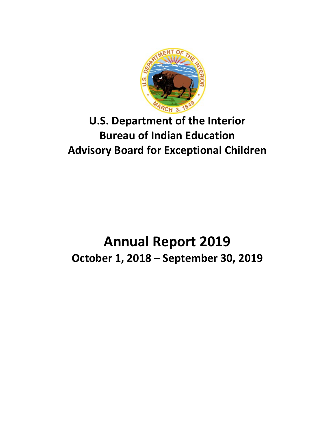

# **U.S. Department of the Interior Bureau of Indian Education Advisory Board for Exceptional Children**

# **Annual Report 2019 October 1, 2018 – September 30, 2019**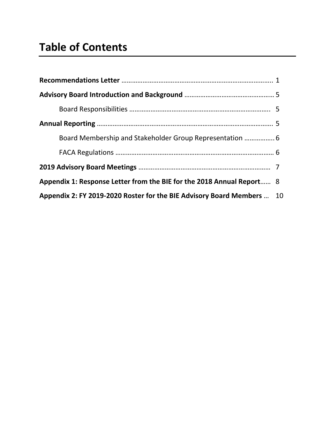| Board Membership and Stakeholder Group Representation                  |  |
|------------------------------------------------------------------------|--|
|                                                                        |  |
|                                                                        |  |
| Appendix 1: Response Letter from the BIE for the 2018 Annual Report 8  |  |
| Appendix 2: FY 2019-2020 Roster for the BIE Advisory Board Members  10 |  |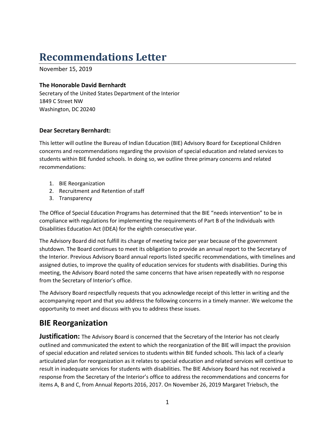# **Recommendations Letter**

November 15, 2019

### **The Honorable David Bernhardt**

Secretary of the United States Department of the Interior 1849 C Street NW Washington, DC 20240

### **Dear Secretary Bernhardt:**

This letter will outline the Bureau of Indian Education (BIE) Advisory Board for Exceptional Children concerns and recommendations regarding the provision of special education and related services to students within BIE funded schools. In doing so, we outline three primary concerns and related recommendations:

- 1. BIE Reorganization
- 2. Recruitment and Retention of staff
- 3. Transparency

The Office of Special Education Programs has determined that the BIE "needs intervention" to be in compliance with regulations for implementing the requirements of Part B of the Individuals with Disabilities Education Act (IDEA) for the eighth consecutive year.

The Advisory Board did not fulfill its charge of meeting twice per year because of the government shutdown. The Board continues to meet its obligation to provide an annual report to the Secretary of the Interior. Previous Advisory Board annual reports listed specific recommendations, with timelines and assigned duties, to improve the quality of education services for students with disabilities. During this meeting, the Advisory Board noted the same concerns that have arisen repeatedly with no response from the Secretary of Interior's office.

The Advisory Board respectfully requests that you acknowledge receipt of this letter in writing and the accompanying report and that you address the following concerns in a timely manner. We welcome the opportunity to meet and discuss with you to address these issues.

## **BIE Reorganization**

**Justification:** The Advisory Board is concerned that the Secretary of the Interior has not clearly outlined and communicated the extent to which the reorganization of the BIE will impact the provision of special education and related services to students within BIE funded schools. This lack of a clearly articulated plan for reorganization as it relates to special education and related services will continue to result in inadequate services for students with disabilities. The BIE Advisory Board has not received a response from the Secretary of the Interior's office to address the recommendations and concerns for items A, B and C, from Annual Reports 2016, 2017. On November 26, 2019 Margaret Triebsch, the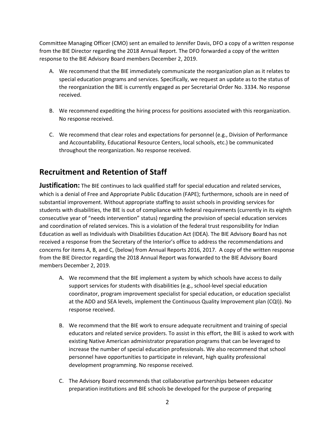Committee Managing Officer (CMO) sent an emailed to Jennifer Davis, DFO a copy of a written response from the BIE Director regarding the 2018 Annual Report. The DFO forwarded a copy of the written response to the BIE Advisory Board members December 2, 2019.

- A. We recommend that the BIE immediately communicate the reorganization plan as it relates to special education programs and services. Specifically, we request an update as to the status of the reorganization the BIE is currently engaged as per Secretarial Order No. 3334. No response received.
- B. We recommend expediting the hiring process for positions associated with this reorganization. No response received.
- C. We recommend that clear roles and expectations for personnel (e.g., Division of Performance and Accountability, Educational Resource Centers, local schools, etc.) be communicated throughout the reorganization. No response received.

## **Recruitment and Retention of Staff**

**Justification:** The BIE continues to lack qualified staff for special education and related services, which is a denial of Free and Appropriate Public Education (FAPE); furthermore, schools are in need of substantial improvement. Without appropriate staffing to assist schools in providing services for students with disabilities, the BIE is out of compliance with federal requirements (currently in its eighth consecutive year of "needs intervention" status) regarding the provision of special education services and coordination of related services. This is a violation of the federal trust responsibility for Indian Education as well as Individuals with Disabilities Education Act (IDEA). The BIE Advisory Board has not received a response from the Secretary of the Interior's office to address the recommendations and concerns for items A, B, and C, (below) from Annual Reports 2016, 2017. A copy of the written response from the BIE Director regarding the 2018 Annual Report was forwarded to the BIE Advisory Board members December 2, 2019.

- A. We recommend that the BIE implement a system by which schools have access to daily support services for students with disabilities (e.g., school-level special education coordinator, program improvement specialist for special education, or education specialist at the ADD and SEA levels, implement the Continuous Quality Improvement plan (CQI)). No response received.
- B. We recommend that the BIE work to ensure adequate recruitment and training of special educators and related service providers. To assist in this effort, the BIE is asked to work with existing Native American administrator preparation programs that can be leveraged to increase the number of special education professionals. We also recommend that school personnel have opportunities to participate in relevant, high quality professional development programming. No response received.
- C. The Advisory Board recommends that collaborative partnerships between educator preparation institutions and BIE schools be developed for the purpose of preparing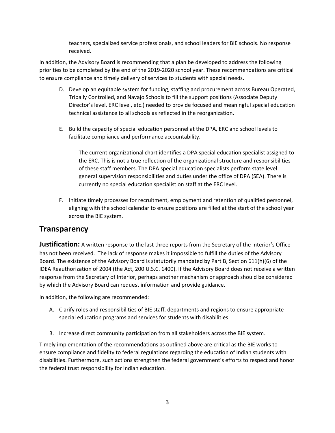teachers, specialized service professionals, and school leaders for BIE schools. No response received.

In addition, the Advisory Board is recommending that a plan be developed to address the following priorities to be completed by the end of the 2019-2020 school year. These recommendations are critical to ensure compliance and timely delivery of services to students with special needs.

- D. Develop an equitable system for funding, staffing and procurement across Bureau Operated, Tribally Controlled, and Navajo Schools to fill the support positions (Associate Deputy Director's level, ERC level, etc.) needed to provide focused and meaningful special education technical assistance to all schools as reflected in the reorganization.
- E. Build the capacity of special education personnel at the DPA, ERC and school levels to facilitate compliance and performance accountability.

The current organizational chart identifies a DPA special education specialist assigned to the ERC. This is not a true reflection of the organizational structure and responsibilities of these staff members. The DPA special education specialists perform state level general supervision responsibilities and duties under the office of DPA (SEA). There is currently no special education specialist on staff at the ERC level.

F. Initiate timely processes for recruitment, employment and retention of qualified personnel, aligning with the school calendar to ensure positions are filled at the start of the school year across the BIE system.

### **Transparency**

**Justification:** A written response to the last three reports from the Secretary of the Interior's Office has not been received. The lack of response makes it impossible to fulfill the duties of the Advisory Board. The existence of the Advisory Board is statutorily mandated by Part B, Section 611(h)(6) of the IDEA Reauthorization of 2004 (the Act, 200 U.S.C. 1400). If the Advisory Board does not receive a written response from the Secretary of Interior, perhaps another mechanism or approach should be considered by which the Advisory Board can request information and provide guidance.

In addition, the following are recommended:

- A. Clarify roles and responsibilities of BIE staff, departments and regions to ensure appropriate special education programs and services for students with disabilities.
- B. Increase direct community participation from all stakeholders across the BIE system.

Timely implementation of the recommendations as outlined above are critical as the BIE works to ensure compliance and fidelity to federal regulations regarding the education of Indian students with disabilities. Furthermore, such actions strengthen the federal government's efforts to respect and honor the federal trust responsibility for Indian education.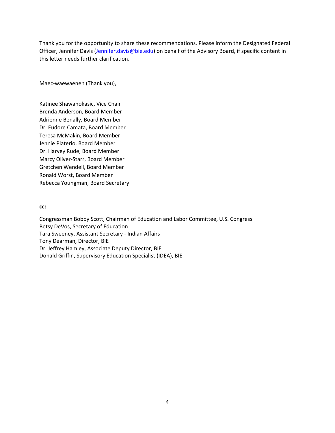Thank you for the opportunity to share these recommendations. Please inform the Designated Federal Officer, Jennifer Davis [\(Jennifer.davis@bie.edu\)](mailto:Jennifer.davis@bie.edu) on behalf of the Advisory Board, if specific content in this letter needs further clarification.

Maec-waewaenen (Thank you),

Katinee Shawanokasic, Vice Chair Brenda Anderson, Board Member Adrienne Benally, Board Member Dr. Eudore Camata, Board Member Teresa McMakin, Board Member Jennie Platerio, Board Member Dr. Harvey Rude, Board Member Marcy Oliver-Starr, Board Member Gretchen Wendell, Board Member Ronald Worst, Board Member Rebecca Youngman, Board Secretary

**cc:**

Congressman Bobby Scott, Chairman of Education and Labor Committee, U.S. Congress Betsy DeVos, Secretary of Education Tara Sweeney, Assistant Secretary - Indian Affairs Tony Dearman, Director, BIE Dr. Jeffrey Hamley, Associate Deputy Director, BIE Donald Griffin, Supervisory Education Specialist (IDEA), BIE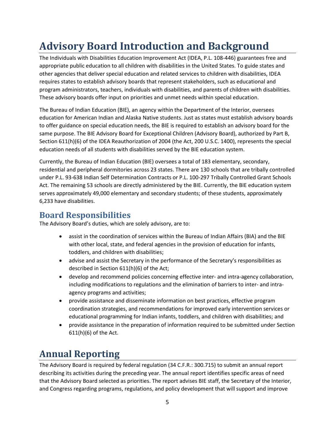# **Advisory Board Introduction and Background**

The Individuals with Disabilities Education Improvement Act (IDEA, P.L. 108-446) guarantees free and appropriate public education to all children with disabilities in the United States. To guide states and other agencies that deliver special education and related services to children with disabilities, IDEA requires states to establish advisory boards that represent stakeholders, such as educational and program administrators, teachers, individuals with disabilities, and parents of children with disabilities. These advisory boards offer input on priorities and unmet needs within special education.

The Bureau of Indian Education (BIE), an agency within the Department of the Interior, oversees education for American Indian and Alaska Native students. Just as states must establish advisory boards to offer guidance on special education needs, the BIE is required to establish an advisory board for the same purpose. The BIE Advisory Board for Exceptional Children (Advisory Board), authorized by Part B, Section 611(h)(6) of the IDEA Reauthorization of 2004 (the Act, 200 U.S.C. 1400), represents the special education needs of all students with disabilities served by the BIE education system.

Currently, the Bureau of Indian Education (BIE) oversees a total of 183 elementary, secondary, residential and peripheral dormitories across 23 states. There are 130 schools that are tribally controlled under P.L. 93-638 Indian Self Determination Contracts or P.L. 100-297 Tribally Controlled Grant Schools Act. The remaining 53 schools are directly administered by the BIE. Currently, the BIE education system serves approximately 49,000 elementary and secondary students; of these students, approximately 6,233 have disabilities.

### **Board Responsibilities**

The Advisory Board's duties, which are solely advisory, are to:

- assist in the coordination of services within the Bureau of Indian Affairs (BIA) and the BIE with other local, state, and federal agencies in the provision of education for infants, toddlers, and children with disabilities;
- advise and assist the Secretary in the performance of the Secretary's responsibilities as described in Section 611(h)(6) of the Act;
- develop and recommend policies concerning effective inter- and intra-agency collaboration, including modifications to regulations and the elimination of barriers to inter- and intraagency programs and activities;
- provide assistance and disseminate information on best practices, effective program coordination strategies, and recommendations for improved early intervention services or educational programming for Indian infants, toddlers, and children with disabilities; and
- provide assistance in the preparation of information required to be submitted under Section 611(h)(6) of the Act.

# **Annual Reporting**

The Advisory Board is required by federal regulation (34 C.F.R.: 300.715) to submit an annual report describing its activities during the preceding year. The annual report identifies specific areas of need that the Advisory Board selected as priorities. The report advises BIE staff, the Secretary of the Interior, and Congress regarding programs, regulations, and policy development that will support and improve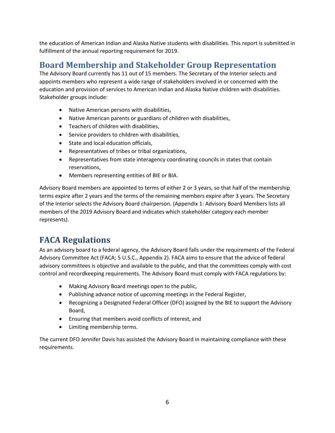the education of American Indian and Alaska Native students with disabilities. This report is submitted in fulfillment of the annual reporting requirement for 2019.

## **Board Membership and Stakeholder Group Representation**

The Advisory Board currently has 11 out of 15 members. The Secretary of the Interior selects and appoints members who represent a wide range of stakeholders involved in or concerned with the education and provision of services to American Indian and Alaska Native children with disabilities. Stakeholder groups include:

- Native American persons with disabilities,
- Native American parents or guardians of children with disabilities,
- Teachers of children with disabilities,
- Service providers to children with disabilities,
- State and local education officials,
- Representatives of tribes or tribal organizations,
- Representatives from state interagency coordinating councils in states that contain reservations,
- Members representing entities of BIE or BIA.

Advisory Board members are appointed to terms of either 2 or 3 years, so that half of the membership terms expire after 2 years and the terms of the remaining members expire after 3 years. The Secretary of the Interior selects the Advisory Board chairperson. (Appendix 1: Advisory Board Members lists all members of the 2019 Advisory Board and indicates which stakeholder category each member represents).

## **FACA Regulations**

As an advisory board to a federal agency, the Advisory Board falls under the requirements of the Federal Advisory Committee Act (FACA; 5 U.S.C., Appendix 2). FACA aims to ensure that the advice of federal advisory committees is objective and available to the public, and that the committees comply with cost control and recordkeeping requirements. The Advisory Board must comply with FACA regulations by:

- Making Advisory Board meetings open to the public,
- Publishing advance notice of upcoming meetings in the Federal Register,
- Recognizing a Designated Federal Officer (DFO) assigned by the BIE to support the Advisory Board,
- Ensuring that members avoid conflicts of interest, and
- Limiting membership terms.

The current DFO Jennifer Davis has assisted the Advisory Board in maintaining compliance with these requirements.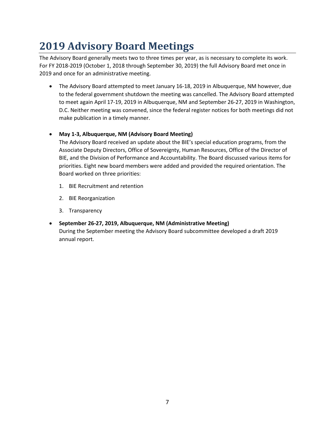# **2019 Advisory Board Meetings**

The Advisory Board generally meets two to three times per year, as is necessary to complete its work. For FY 2018-2019 (October 1, 2018 through September 30, 2019) the full Advisory Board met once in 2019 and once for an administrative meeting.

• The Advisory Board attempted to meet January 16-18, 2019 in Albuquerque, NM however, due to the federal government shutdown the meeting was cancelled. The Advisory Board attempted to meet again April 17-19, 2019 in Albuquerque, NM and September 26-27, 2019 in Washington, D.C. Neither meeting was convened, since the federal register notices for both meetings did not make publication in a timely manner.

### • **May 1-3, Albuquerque, NM (Advisory Board Meeting)**

The Advisory Board received an update about the BIE's special education programs, from the Associate Deputy Directors, Office of Sovereignty, Human Resources, Office of the Director of BIE, and the Division of Performance and Accountability. The Board discussed various items for priorities. Eight new board members were added and provided the required orientation. The Board worked on three priorities:

- 1. BIE Recruitment and retention
- 2. BIE Reorganization
- 3. Transparency
- **September 26-27, 2019, Albuquerque, NM (Administrative Meeting)** During the September meeting the Advisory Board subcommittee developed a draft 2019 annual report.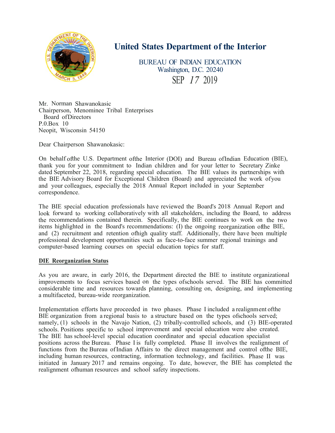

## **United States Department of the Interior**

BUREAU OF INDIAN EDUCATION Washington, D.C. 20240 SEP *17* 2019

Mr. Norman Shawanokasic Chairperson, Menominee Tribal Enterprises Board of Directors  $P.0$ . Box 10 Neopit, Wisconsin 54150

Dear Chairperson Shawanokasic:

On behalf of the U.S. Department of the Interior (DOI) and Bureau of Indian Education (BIE), thank you for your commitment to Indian children and for your letter to Secretary Zinke dated September 22, 2018, regarding special education. The BIE values its partnerships with the BIE Advisory Board for Exceptional Children (Board) and appreciated the work of you and your colleagues, especially the 2018 Annual Report included in your September correspondence.

The BIE special education professionals have reviewed the Board's 2018 Annual Report and look forward to working collaboratively with all stakeholders, including the Board, to address the recommendations contained therein. Specifically, the BIE continues to work on the two items highlighted in the Board's recommendations:  $(I)$  the ongoing reorganization of the BIE, and  $(2)$  recruitment and retention of high quality staff. Additionally, there have been multiple professional development opportunities such as face-to-face summer regional trainings and computer-based learning courses on special education topics for staff.

#### **DIE Reorganization Status**

As you are aware, in early 2016, the Department directed the BIE to institute organizational improvements to focus services based on the types of schools served. The BIE has committed considerable time and resources towards planning, consulting on, designing, and implementing a multifaceted, bureau-wide reorganization.

Implementation efforts have proceeded in two phases. Phase I included a realignment of the BIE organization from a regional basis to a structure based on the types of schools served; namely, (1) schools in the Navajo Nation, (2) tribally-controlled schools, and (3) BIE-operated schools. Positions specific to school improvement and special education were also created. The BIE has school-level special education coordinator and special education specialist positions across the Bureau. Phase I is fully completed. Phase II involves the realignment of functions from the Bureau of Indian Affairs to the direct management and control of the BIE, including human resources, contracting, information technology, and facilities. Phase II was initiated in January 2017 and remains ongoing. To date, however, the BIE has completed the realignment of human resources and school safety inspections.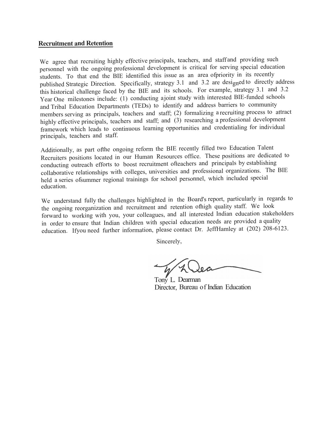#### **Recruitment and Retention**

We agree that recruiting highly effective principals, teachers, and staff and providing such personnel with the ongoing professional development is critical for serving special education students. To that end the BIE identified this issue as an area of priority in its recently published Strategic Direction. Specifically, strategy 3.1 and 3.2 are designed to directly address this historical challenge faced by the BIE and its schools. For example, strategy 3.1 and 3.2 Year One milestones include: (1) conducting a joint study with interested BIE-funded schools and Tribal Education Departments (TEDs) to identify and address barriers to community members serving as principals, teachers and staff; (2) formalizing a recruiting process to attract highly effective principals, teachers and staff; and (3) researching a professional development framework which leads to continuous learning opportunities and credentialing for individual principals, teachers and staff.

Additionally, as part of the ongoing reform the BIE recently filled two Education Talent Recruiters positions located in our Human Resources office. These positions are dedicated to conducting outreach efforts to boost recruitment ofteachers and principals by establishing collaborative relationships with colleges, universities and professional organizations. The BIE held a series of summer regional trainings for school personnel, which included special education.

We understand fully the challenges highlighted in the Board's report, particularly in regards to the ongoing reorganization and recruitment and retention of high quality staff. We look forward to working with you, your colleagues, and all interested Indian education stakeholders in order to ensure that Indian children with special education needs are provided a quality education. If you need further information, please contact Dr. JeffHamley at (202) 208-6123.

Sincerely,

Tony L. Dearma n Director, Bureau of Indian Education